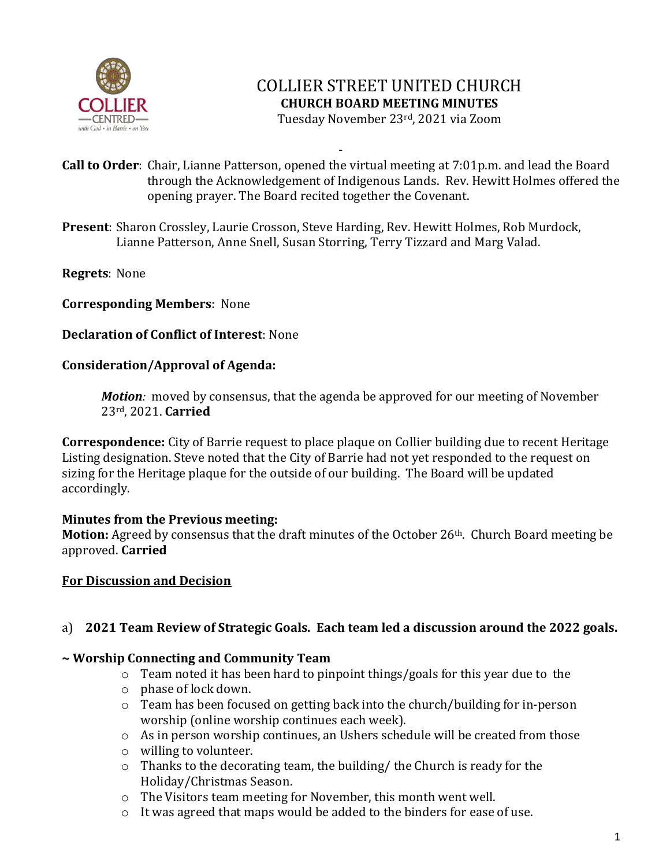

# COLLIER STREET UNITED CHURCH **CHURCH BOARD MEETING MINUTES** Tuesday November 23rd, 2021 via Zoom

- **Call to Order**: Chair, Lianne Patterson, opened the virtual meeting at 7:01p.m. and lead the Board through the Acknowledgement of Indigenous Lands. Rev. Hewitt Holmes offered the opening prayer. The Board recited together the Covenant.

**Present**: Sharon Crossley, Laurie Crosson, Steve Harding, Rev. Hewitt Holmes, Rob Murdock, Lianne Patterson, Anne Snell, Susan Storring, Terry Tizzard and Marg Valad.

**Regrets**: None

### **Corresponding Members**: None

### **Declaration of Conflict of Interest**: None

#### **Consideration/Approval of Agenda:**

*Motion:* moved by consensus, that the agenda be approved for our meeting of November 23rd, 2021. **Carried**

**Correspondence:** City of Barrie request to place plaque on Collier building due to recent Heritage Listing designation. Steve noted that the City of Barrie had not yet responded to the request on sizing for the Heritage plaque for the outside of our building. The Board will be updated accordingly.

#### **Minutes from the Previous meeting:**

Motion: Agreed by consensus that the draft minutes of the October 26<sup>th</sup>. Church Board meeting be approved. **Carried**

#### **For Discussion and Decision**

## a) **2021 Team Review of Strategic Goals. Each team led a discussion around the 2022 goals.**

#### **~ Worship Connecting and Community Team**

- o Team noted it has been hard to pinpoint things/goals for this year due to the
- o phase of lock down.
- o Team has been focused on getting back into the church/building for in-person worship (online worship continues each week).
- o As in person worship continues, an Ushers schedule will be created from those
- o willing to volunteer.
- o Thanks to the decorating team, the building/ the Church is ready for the Holiday/Christmas Season.
- o The Visitors team meeting for November, this month went well.
- o It was agreed that maps would be added to the binders for ease of use.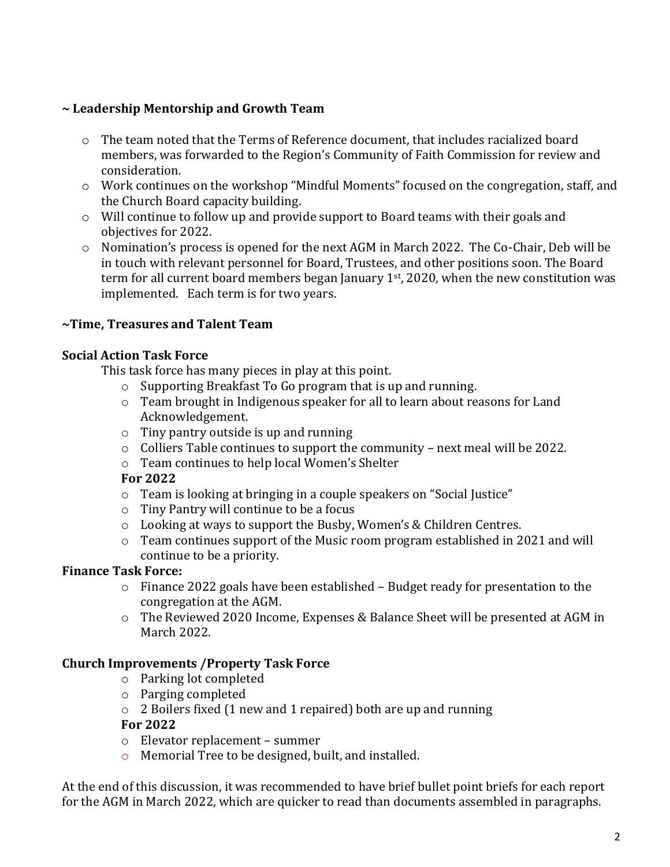## **~ Leadership Mentorship and Growth Team**

- o The team noted that the Terms of Reference document, that includes racialized board members, was forwarded to the Region's Community of Faith Commission for review and consideration.
- o Work continues on the workshop "Mindful Moments" focused on the congregation, staff, and the Church Board capacity building.
- o Will continue to follow up and provide support to Board teams with their goals and objectives for 2022.
- o Nomination's process is opened for the next AGM in March 2022. The Co-Chair, Deb will be in touch with relevant personnel for Board, Trustees, and other positions soon. The Board term for all current board members began January 1st, 2020, when the new constitution was implemented. Each term is for two years.

## **~Time, Treasures and Talent Team**

### **Social Action Task Force**

This task force has many pieces in play at this point.

- o Supporting Breakfast To Go program that is up and running.
- o Team brought in Indigenous speaker for all to learn about reasons for Land Acknowledgement.
- o Tiny pantry outside is up and running
- o Colliers Table continues to support the community next meal will be 2022.
- o Team continues to help local Women's Shelter

#### **For 2022**

- o Team is looking at bringing in a couple speakers on "Social Justice"
- o Tiny Pantry will continue to be a focus
- o Looking at ways to support the Busby, Women's & Children Centres.
- o Team continues support of the Music room program established in 2021 and will continue to be a priority.

## **Finance Task Force:**

- $\circ$  Finance 2022 goals have been established Budget ready for presentation to the congregation at the AGM.
- o The Reviewed 2020 Income, Expenses & Balance Sheet will be presented at AGM in March 2022.

## **Church Improvements /Property Task Force**

- o Parking lot completed
- o Parging completed
- o 2 Boilers fixed (1 new and 1 repaired) both are up and running

#### **For 2022**

- o Elevator replacement summer
- o Memorial Tree to be designed, built, and installed.

At the end of this discussion, it was recommended to have brief bullet point briefs for each report for the AGM in March 2022, which are quicker to read than documents assembled in paragraphs.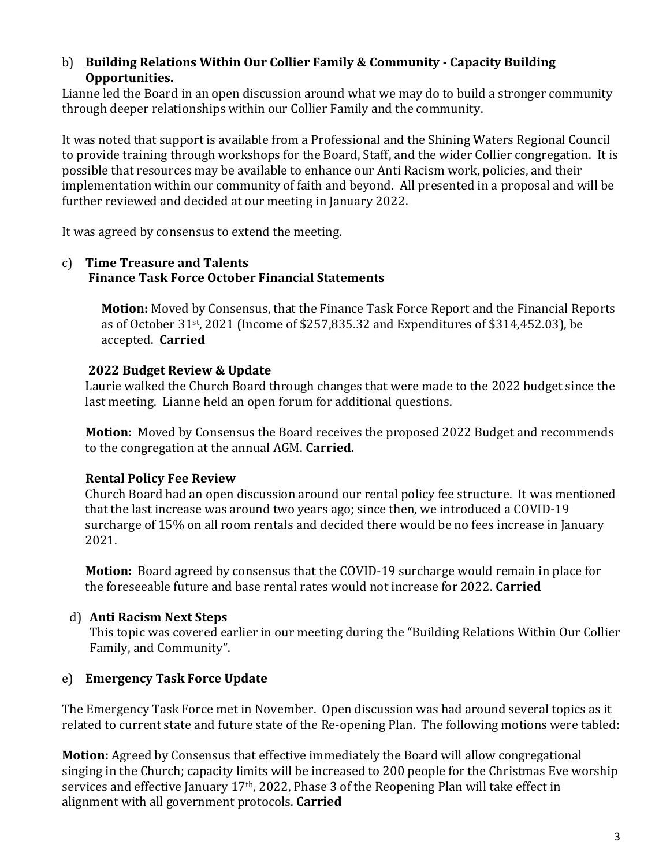### b) **Building Relations Within Our Collier Family & Community - Capacity Building Opportunities.**

Lianne led the Board in an open discussion around what we may do to build a stronger community through deeper relationships within our Collier Family and the community.

It was noted that support is available from a Professional and the Shining Waters Regional Council to provide training through workshops for the Board, Staff, and the wider Collier congregation. It is possible that resources may be available to enhance our Anti Racism work, policies, and their implementation within our community of faith and beyond. All presented in a proposal and will be further reviewed and decided at our meeting in January 2022.

It was agreed by consensus to extend the meeting.

#### c) **Time Treasure and Talents Finance Task Force October Financial Statements**

**Motion:** Moved by Consensus, that the Finance Task Force Report and the Financial Reports as of October 31st , 2021 (Income of \$257,835.32 and Expenditures of \$314,452.03), be accepted. **Carried**

## **2022 Budget Review & Update**

Laurie walked the Church Board through changes that were made to the 2022 budget since the last meeting. Lianne held an open forum for additional questions.

**Motion:** Moved by Consensus the Board receives the proposed 2022 Budget and recommends to the congregation at the annual AGM. **Carried.**

# **Rental Policy Fee Review**

Church Board had an open discussion around our rental policy fee structure. It was mentioned that the last increase was around two years ago; since then, we introduced a COVID-19 surcharge of 15% on all room rentals and decided there would be no fees increase in January 2021.

**Motion:** Board agreed by consensus that the COVID-19 surcharge would remain in place for the foreseeable future and base rental rates would not increase for 2022. **Carried**

# d) **Anti Racism Next Steps**

This topic was covered earlier in our meeting during the "Building Relations Within Our Collier Family, and Community".

# e) **Emergency Task Force Update**

The Emergency Task Force met in November. Open discussion was had around several topics as it related to current state and future state of the Re-opening Plan. The following motions were tabled:

**Motion:** Agreed by Consensus that effective immediately the Board will allow congregational singing in the Church; capacity limits will be increased to 200 people for the Christmas Eve worship services and effective January 17<sup>th</sup>, 2022, Phase 3 of the Reopening Plan will take effect in alignment with all government protocols. **Carried**